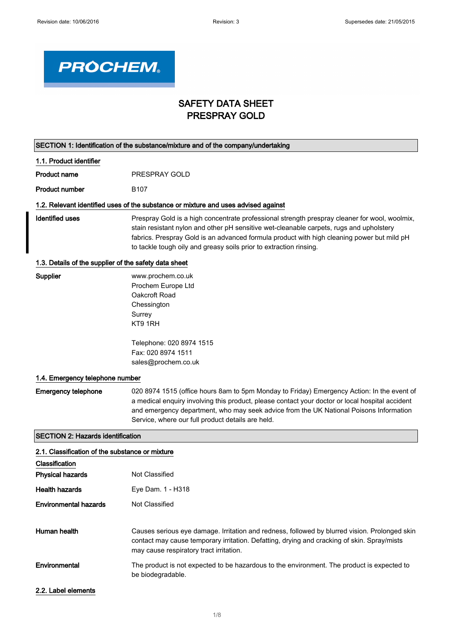

## SAFETY DATA SHEET PRESPRAY GOLD

|                                                       | SECTION 1: Identification of the substance/mixture and of the company/undertaking                                                                                                                                                                                                                                                                            |
|-------------------------------------------------------|--------------------------------------------------------------------------------------------------------------------------------------------------------------------------------------------------------------------------------------------------------------------------------------------------------------------------------------------------------------|
| 1.1. Product identifier                               |                                                                                                                                                                                                                                                                                                                                                              |
| <b>Product name</b>                                   | PRESPRAY GOLD                                                                                                                                                                                                                                                                                                                                                |
| <b>Product number</b>                                 | B <sub>107</sub>                                                                                                                                                                                                                                                                                                                                             |
|                                                       | 1.2. Relevant identified uses of the substance or mixture and uses advised against                                                                                                                                                                                                                                                                           |
| <b>Identified uses</b>                                | Prespray Gold is a high concentrate professional strength prespray cleaner for wool, woolmix,<br>stain resistant nylon and other pH sensitive wet-cleanable carpets, rugs and upholstery<br>fabrics. Prespray Gold is an advanced formula product with high cleaning power but mild pH<br>to tackle tough oily and greasy soils prior to extraction rinsing. |
| 1.3. Details of the supplier of the safety data sheet |                                                                                                                                                                                                                                                                                                                                                              |
| Supplier                                              | www.prochem.co.uk<br>Prochem Europe Ltd<br>Oakcroft Road<br>Chessington<br>Surrey<br>KT9 1RH                                                                                                                                                                                                                                                                 |
|                                                       | Telephone: 020 8974 1515<br>Fax: 020 8974 1511<br>sales@prochem.co.uk                                                                                                                                                                                                                                                                                        |
| 1.4. Emergency telephone number                       |                                                                                                                                                                                                                                                                                                                                                              |
| <b>Emergency telephone</b>                            | 020 8974 1515 (office hours 8am to 5pm Monday to Friday) Emergency Action: In the event of<br>a medical enquiry involving this product, please contact your doctor or local hospital accident<br>and emergency department, who may seek advice from the UK National Poisons Information<br>Service, where our full product details are held.                 |
| <b>SECTION 2: Hazards identification</b>              |                                                                                                                                                                                                                                                                                                                                                              |
| 2.1. Classification of the substance or mixture       |                                                                                                                                                                                                                                                                                                                                                              |
| Classification<br><b>Physical hazards</b>             | Not Classified                                                                                                                                                                                                                                                                                                                                               |
| <b>Health hazards</b>                                 | Eye Dam. 1 - H318                                                                                                                                                                                                                                                                                                                                            |
| <b>Environmental hazards</b>                          | Not Classified                                                                                                                                                                                                                                                                                                                                               |
|                                                       |                                                                                                                                                                                                                                                                                                                                                              |
| Human health                                          | Causes serious eye damage. Irritation and redness, followed by blurred vision. Prolonged skin<br>contact may cause temporary irritation. Defatting, drying and cracking of skin. Spray/mists<br>may cause respiratory tract irritation.                                                                                                                      |
| Environmental                                         | The product is not expected to be hazardous to the environment. The product is expected to<br>be biodegradable.                                                                                                                                                                                                                                              |
| 2.2. Label elements                                   |                                                                                                                                                                                                                                                                                                                                                              |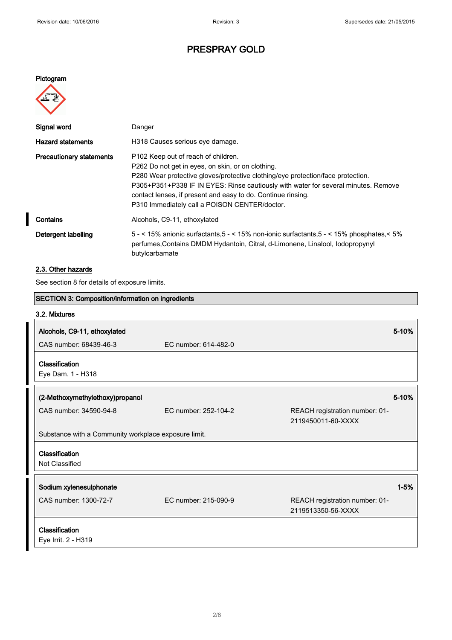┓

# PRESPRAY GOLD

#### Pictogram



| Signal word                     | Danger                                                                                                                                                                                                                                                                                                                                                                                         |
|---------------------------------|------------------------------------------------------------------------------------------------------------------------------------------------------------------------------------------------------------------------------------------------------------------------------------------------------------------------------------------------------------------------------------------------|
| <b>Hazard statements</b>        | H318 Causes serious eye damage.                                                                                                                                                                                                                                                                                                                                                                |
| <b>Precautionary statements</b> | P <sub>102</sub> Keep out of reach of children.<br>P262 Do not get in eyes, on skin, or on clothing.<br>P280 Wear protective gloves/protective clothing/eye protection/face protection.<br>P305+P351+P338 IF IN EYES: Rinse cautiously with water for several minutes. Remove<br>contact lenses, if present and easy to do. Continue rinsing.<br>P310 Immediately call a POISON CENTER/doctor. |
| Contains                        | Alcohols, C9-11, ethoxylated                                                                                                                                                                                                                                                                                                                                                                   |
| Detergent labelling             | 5 - < 15% anionic surfactants, $5 - 5$ - < 15% non-ionic surfactants, $5 - 5$ - < 15% phosphates, $55\%$<br>perfumes. Contains DMDM Hydantoin, Citral, d-Limonene, Linalool, Iodopropynyl<br>butylcarbamate                                                                                                                                                                                    |

### 2.3. Other hazards

See section 8 for details of exposure limits.

| SECTION 3: Composition/information on ingredients    |                      |                                                      |          |
|------------------------------------------------------|----------------------|------------------------------------------------------|----------|
| 3.2. Mixtures                                        |                      |                                                      |          |
| Alcohols, C9-11, ethoxylated                         |                      |                                                      | 5-10%    |
| CAS number: 68439-46-3                               | EC number: 614-482-0 |                                                      |          |
|                                                      |                      |                                                      |          |
| Classification                                       |                      |                                                      |          |
| Eye Dam. 1 - H318                                    |                      |                                                      |          |
|                                                      |                      |                                                      |          |
| (2-Methoxymethylethoxy)propanol                      |                      |                                                      | 5-10%    |
| CAS number: 34590-94-8                               | EC number: 252-104-2 | REACH registration number: 01-<br>2119450011-60-XXXX |          |
| Substance with a Community workplace exposure limit. |                      |                                                      |          |
|                                                      |                      |                                                      |          |
| Classification<br>Not Classified                     |                      |                                                      |          |
|                                                      |                      |                                                      |          |
| Sodium xylenesulphonate                              |                      |                                                      | $1 - 5%$ |
| CAS number: 1300-72-7                                | EC number: 215-090-9 | REACH registration number: 01-                       |          |
|                                                      |                      | 2119513350-56-XXXX                                   |          |
| Classification                                       |                      |                                                      |          |
| Eye Irrit. 2 - H319                                  |                      |                                                      |          |
|                                                      |                      |                                                      |          |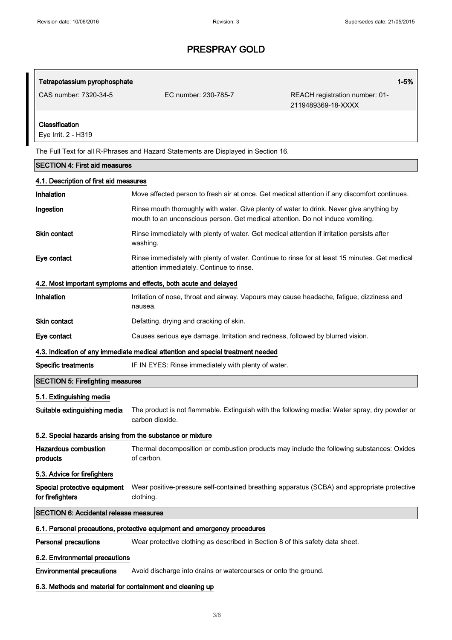| Tetrapotassium pyrophosphate                               |                                                                                                                                                                            | $1 - 5%$                                             |
|------------------------------------------------------------|----------------------------------------------------------------------------------------------------------------------------------------------------------------------------|------------------------------------------------------|
| CAS number: 7320-34-5                                      | EC number: 230-785-7                                                                                                                                                       | REACH registration number: 01-<br>2119489369-18-XXXX |
| Classification<br>Eye Irrit. 2 - H319                      |                                                                                                                                                                            |                                                      |
|                                                            | The Full Text for all R-Phrases and Hazard Statements are Displayed in Section 16.                                                                                         |                                                      |
| <b>SECTION 4: First aid measures</b>                       |                                                                                                                                                                            |                                                      |
| 4.1. Description of first aid measures                     |                                                                                                                                                                            |                                                      |
| Inhalation                                                 | Move affected person to fresh air at once. Get medical attention if any discomfort continues.                                                                              |                                                      |
| Ingestion                                                  | Rinse mouth thoroughly with water. Give plenty of water to drink. Never give anything by<br>mouth to an unconscious person. Get medical attention. Do not induce vomiting. |                                                      |
| <b>Skin contact</b>                                        | Rinse immediately with plenty of water. Get medical attention if irritation persists after<br>washing.                                                                     |                                                      |
| Eye contact                                                | Rinse immediately with plenty of water. Continue to rinse for at least 15 minutes. Get medical<br>attention immediately. Continue to rinse.                                |                                                      |
|                                                            | 4.2. Most important symptoms and effects, both acute and delayed                                                                                                           |                                                      |
| Inhalation                                                 | Irritation of nose, throat and airway. Vapours may cause headache, fatigue, dizziness and<br>nausea.                                                                       |                                                      |
| <b>Skin contact</b>                                        | Defatting, drying and cracking of skin.                                                                                                                                    |                                                      |
| Eye contact                                                | Causes serious eye damage. Irritation and redness, followed by blurred vision.                                                                                             |                                                      |
|                                                            | 4.3. Indication of any immediate medical attention and special treatment needed                                                                                            |                                                      |
| <b>Specific treatments</b>                                 | IF IN EYES: Rinse immediately with plenty of water.                                                                                                                        |                                                      |
| <b>SECTION 5: Firefighting measures</b>                    |                                                                                                                                                                            |                                                      |
| 5.1. Extinguishing media                                   |                                                                                                                                                                            |                                                      |
| Suitable extinguishing media                               | The product is not flammable. Extinguish with the following media: Water spray, dry powder or<br>carbon dioxide.                                                           |                                                      |
| 5.2. Special hazards arising from the substance or mixture |                                                                                                                                                                            |                                                      |
| <b>Hazardous combustion</b><br>products                    | Thermal decomposition or combustion products may include the following substances: Oxides<br>of carbon.                                                                    |                                                      |
| 5.3. Advice for firefighters                               |                                                                                                                                                                            |                                                      |
| Special protective equipment<br>for firefighters           | Wear positive-pressure self-contained breathing apparatus (SCBA) and appropriate protective<br>clothing.                                                                   |                                                      |
| <b>SECTION 6: Accidental release measures</b>              |                                                                                                                                                                            |                                                      |
|                                                            | 6.1. Personal precautions, protective equipment and emergency procedures                                                                                                   |                                                      |
| <b>Personal precautions</b>                                | Wear protective clothing as described in Section 8 of this safety data sheet.                                                                                              |                                                      |
| 6.2. Environmental precautions                             |                                                                                                                                                                            |                                                      |
| <b>Environmental precautions</b>                           | Avoid discharge into drains or watercourses or onto the ground.                                                                                                            |                                                      |
| 6.3. Methods and material for containment and cleaning up  |                                                                                                                                                                            |                                                      |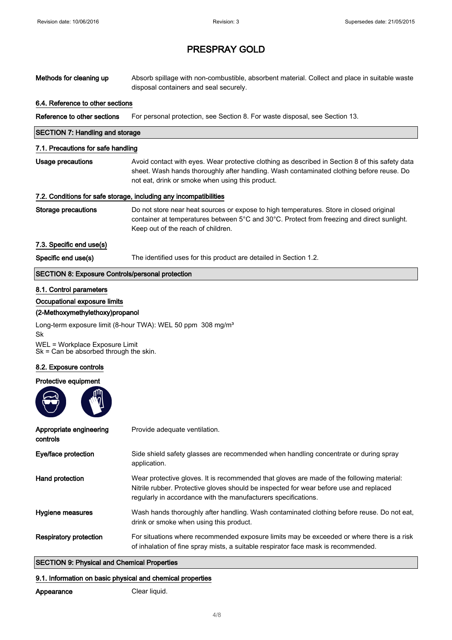| Methods for cleaning up                                                                                                                                                                                                          | Absorb spillage with non-combustible, absorbent material. Collect and place in suitable waste<br>disposal containers and seal securely.                                                                                                               |
|----------------------------------------------------------------------------------------------------------------------------------------------------------------------------------------------------------------------------------|-------------------------------------------------------------------------------------------------------------------------------------------------------------------------------------------------------------------------------------------------------|
| 6.4. Reference to other sections                                                                                                                                                                                                 |                                                                                                                                                                                                                                                       |
| Reference to other sections                                                                                                                                                                                                      | For personal protection, see Section 8. For waste disposal, see Section 13.                                                                                                                                                                           |
| <b>SECTION 7: Handling and storage</b>                                                                                                                                                                                           |                                                                                                                                                                                                                                                       |
| 7.1. Precautions for safe handling                                                                                                                                                                                               |                                                                                                                                                                                                                                                       |
| <b>Usage precautions</b>                                                                                                                                                                                                         | Avoid contact with eyes. Wear protective clothing as described in Section 8 of this safety data<br>sheet. Wash hands thoroughly after handling. Wash contaminated clothing before reuse. Do<br>not eat, drink or smoke when using this product.       |
|                                                                                                                                                                                                                                  | 7.2. Conditions for safe storage, including any incompatibilities                                                                                                                                                                                     |
| <b>Storage precautions</b>                                                                                                                                                                                                       | Do not store near heat sources or expose to high temperatures. Store in closed original<br>container at temperatures between 5°C and 30°C. Protect from freezing and direct sunlight.<br>Keep out of the reach of children.                           |
| 7.3. Specific end use(s)                                                                                                                                                                                                         |                                                                                                                                                                                                                                                       |
| Specific end use(s)                                                                                                                                                                                                              | The identified uses for this product are detailed in Section 1.2.                                                                                                                                                                                     |
| <b>SECTION 8: Exposure Controls/personal protection</b>                                                                                                                                                                          |                                                                                                                                                                                                                                                       |
| 8.1. Control parameters<br>Occupational exposure limits<br>(2-Methoxymethylethoxy)propanol<br>Sk<br>WEL = Workplace Exposure Limit<br>$Sk = Can be absorbed through the skin.$<br>8.2. Exposure controls<br>Protective equipment | Long-term exposure limit (8-hour TWA): WEL 50 ppm 308 mg/m <sup>3</sup>                                                                                                                                                                               |
| Appropriate engineering                                                                                                                                                                                                          | Provide adequate ventilation.                                                                                                                                                                                                                         |
| controls<br>Eye/face protection                                                                                                                                                                                                  | Side shield safety glasses are recommended when handling concentrate or during spray<br>application.                                                                                                                                                  |
| Hand protection                                                                                                                                                                                                                  | Wear protective gloves. It is recommended that gloves are made of the following material:<br>Nitrile rubber. Protective gloves should be inspected for wear before use and replaced<br>regularly in accordance with the manufacturers specifications. |
| Hygiene measures                                                                                                                                                                                                                 | Wash hands thoroughly after handling. Wash contaminated clothing before reuse. Do not eat,<br>drink or smoke when using this product.                                                                                                                 |
| <b>Respiratory protection</b>                                                                                                                                                                                                    | For situations where recommended exposure limits may be exceeded or where there is a risk<br>of inhalation of fine spray mists, a suitable respirator face mask is recommended.                                                                       |
| <b>SECTION 9: Physical and Chemical Properties</b>                                                                                                                                                                               |                                                                                                                                                                                                                                                       |

## 9.1. Information on basic physical and chemical properties

Appearance Clear liquid.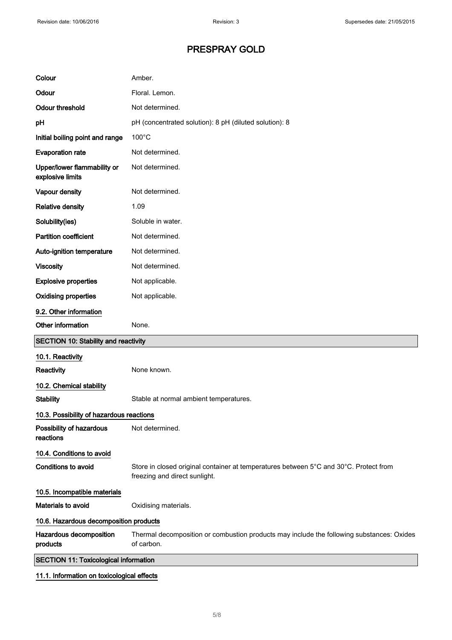| Colour                                          | Amber.                                                                                                                 |
|-------------------------------------------------|------------------------------------------------------------------------------------------------------------------------|
| Odour                                           | Floral. Lemon.                                                                                                         |
| <b>Odour threshold</b>                          | Not determined.                                                                                                        |
| pH                                              | pH (concentrated solution): 8 pH (diluted solution): 8                                                                 |
| Initial boiling point and range                 | $100^{\circ}$ C                                                                                                        |
| <b>Evaporation rate</b>                         | Not determined.                                                                                                        |
| Upper/lower flammability or<br>explosive limits | Not determined.                                                                                                        |
| Vapour density                                  | Not determined.                                                                                                        |
| <b>Relative density</b>                         | 1.09                                                                                                                   |
| Solubility(ies)                                 | Soluble in water.                                                                                                      |
| <b>Partition coefficient</b>                    | Not determined.                                                                                                        |
| Auto-ignition temperature                       | Not determined.                                                                                                        |
| <b>Viscosity</b>                                | Not determined.                                                                                                        |
| <b>Explosive properties</b>                     | Not applicable.                                                                                                        |
| <b>Oxidising properties</b>                     | Not applicable.                                                                                                        |
| 9.2. Other information                          |                                                                                                                        |
| Other information                               | None.                                                                                                                  |
| <b>SECTION 10: Stability and reactivity</b>     |                                                                                                                        |
| 10.1. Reactivity                                |                                                                                                                        |
| Reactivity                                      | None known.                                                                                                            |
| 10.2. Chemical stability                        |                                                                                                                        |
| <b>Stability</b>                                | Stable at normal ambient temperatures.                                                                                 |
| 10.3. Possibility of hazardous reactions        |                                                                                                                        |
| Possibility of hazardous<br>reactions           | Not determined.                                                                                                        |
| 10.4. Conditions to avoid                       |                                                                                                                        |
| <b>Conditions to avoid</b>                      | Store in closed original container at temperatures between 5°C and 30°C. Protect from<br>freezing and direct sunlight. |
| 10.5. Incompatible materials                    |                                                                                                                        |
| Materials to avoid                              | Oxidising materials.                                                                                                   |
| 10.6. Hazardous decomposition products          |                                                                                                                        |
| Hazardous decomposition<br>products             | Thermal decomposition or combustion products may include the following substances: Oxides<br>of carbon.                |
| <b>SECTION 11: Toxicological information</b>    |                                                                                                                        |

11.1. Information on toxicological effects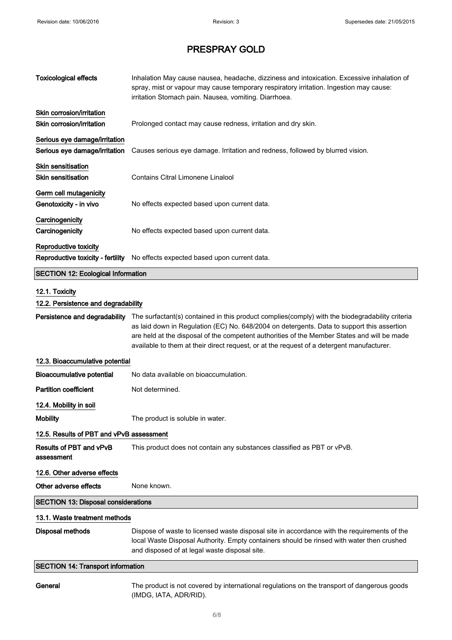| <b>Toxicological effects</b>                                   | Inhalation May cause nausea, headache, dizziness and intoxication. Excessive inhalation of<br>spray, mist or vapour may cause temporary respiratory irritation. Ingestion may cause:<br>irritation Stomach pain. Nausea, vomiting. Diarrhoea.                                                                                                                                             |
|----------------------------------------------------------------|-------------------------------------------------------------------------------------------------------------------------------------------------------------------------------------------------------------------------------------------------------------------------------------------------------------------------------------------------------------------------------------------|
| Skin corrosion/irritation<br>Skin corrosion/irritation         | Prolonged contact may cause redness, irritation and dry skin.                                                                                                                                                                                                                                                                                                                             |
| Serious eye damage/irritation<br>Serious eye damage/irritation | Causes serious eye damage. Irritation and redness, followed by blurred vision.                                                                                                                                                                                                                                                                                                            |
| <b>Skin sensitisation</b><br><b>Skin sensitisation</b>         | Contains Citral Limonene Linalool                                                                                                                                                                                                                                                                                                                                                         |
| Germ cell mutagenicity<br>Genotoxicity - in vivo               | No effects expected based upon current data.                                                                                                                                                                                                                                                                                                                                              |
| Carcinogenicity<br>Carcinogenicity                             | No effects expected based upon current data.                                                                                                                                                                                                                                                                                                                                              |
| Reproductive toxicity                                          | Reproductive toxicity - fertility No effects expected based upon current data.                                                                                                                                                                                                                                                                                                            |
| <b>SECTION 12: Ecological Information</b>                      |                                                                                                                                                                                                                                                                                                                                                                                           |
| 12.1. Toxicity<br>12.2. Persistence and degradability          |                                                                                                                                                                                                                                                                                                                                                                                           |
| Persistence and degradability                                  | The surfactant(s) contained in this product complies(comply) with the biodegradability criteria<br>as laid down in Regulation (EC) No. 648/2004 on detergents. Data to support this assertion<br>are held at the disposal of the competent authorities of the Member States and will be made<br>available to them at their direct request, or at the request of a detergent manufacturer. |
| 12.3. Bioaccumulative potential                                |                                                                                                                                                                                                                                                                                                                                                                                           |
| <b>Bioaccumulative potential</b>                               | No data available on bioaccumulation.                                                                                                                                                                                                                                                                                                                                                     |
| <b>Partition coefficient</b>                                   | Not determined.                                                                                                                                                                                                                                                                                                                                                                           |
| 12.4. Mobility in soil                                         |                                                                                                                                                                                                                                                                                                                                                                                           |
| <b>Mobility</b>                                                | The product is soluble in water.                                                                                                                                                                                                                                                                                                                                                          |
| 12.5. Results of PBT and vPvB assessment                       |                                                                                                                                                                                                                                                                                                                                                                                           |
| Results of PBT and vPvB<br>assessment                          | This product does not contain any substances classified as PBT or vPvB.                                                                                                                                                                                                                                                                                                                   |
| 12.6. Other adverse effects                                    |                                                                                                                                                                                                                                                                                                                                                                                           |
| Other adverse effects                                          | None known.                                                                                                                                                                                                                                                                                                                                                                               |
| <b>SECTION 13: Disposal considerations</b>                     |                                                                                                                                                                                                                                                                                                                                                                                           |
| 13.1. Waste treatment methods                                  |                                                                                                                                                                                                                                                                                                                                                                                           |
| <b>Disposal methods</b>                                        | Dispose of waste to licensed waste disposal site in accordance with the requirements of the<br>local Waste Disposal Authority. Empty containers should be rinsed with water then crushed<br>and disposed of at legal waste disposal site.                                                                                                                                                 |
| <b>SECTION 14: Transport information</b>                       |                                                                                                                                                                                                                                                                                                                                                                                           |
| General                                                        | The product is not covered by international regulations on the transport of dangerous goods<br>(IMDG, IATA, ADR/RID).                                                                                                                                                                                                                                                                     |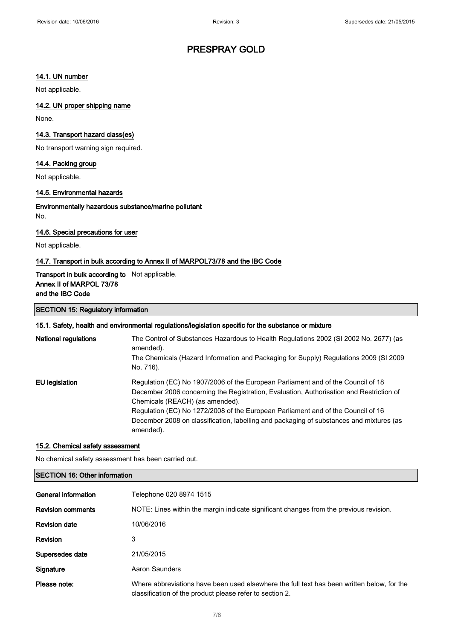#### 14.1. UN number

Not applicable.

#### 14.2. UN proper shipping name

None.

#### 14.3. Transport hazard class(es)

No transport warning sign required.

#### 14.4. Packing group

Not applicable.

#### 14.5. Environmental hazards

Environmentally hazardous substance/marine pollutant No.

#### 14.6. Special precautions for user

Not applicable.

### 14.7. Transport in bulk according to Annex II of MARPOL73/78 and the IBC Code

### Transport in bulk according to Not applicable. Annex II of MARPOL 73/78 and the IBC Code

#### SECTION 15: Regulatory information

#### 15.1. Safety, health and environmental regulations/legislation specific for the substance or mixture

| <b>National regulations</b> | The Control of Substances Hazardous to Health Regulations 2002 (SI 2002 No. 2677) (as<br>amended).<br>The Chemicals (Hazard Information and Packaging for Supply) Regulations 2009 (SI 2009<br>No. 716).                                                                                                                                                                                                   |
|-----------------------------|------------------------------------------------------------------------------------------------------------------------------------------------------------------------------------------------------------------------------------------------------------------------------------------------------------------------------------------------------------------------------------------------------------|
| EU legislation              | Regulation (EC) No 1907/2006 of the European Parliament and of the Council of 18<br>December 2006 concerning the Registration, Evaluation, Authorisation and Restriction of<br>Chemicals (REACH) (as amended).<br>Regulation (EC) No 1272/2008 of the European Parliament and of the Council of 16<br>December 2008 on classification, labelling and packaging of substances and mixtures (as<br>amended). |

#### 15.2. Chemical safety assessment

No chemical safety assessment has been carried out.

#### SECTION 16: Other information

| General information      | Telephone 020 8974 1515                                                                                                                                |
|--------------------------|--------------------------------------------------------------------------------------------------------------------------------------------------------|
| <b>Revision comments</b> | NOTE: Lines within the margin indicate significant changes from the previous revision.                                                                 |
| <b>Revision date</b>     | 10/06/2016                                                                                                                                             |
| Revision                 | 3                                                                                                                                                      |
| Supersedes date          | 21/05/2015                                                                                                                                             |
| Signature                | Aaron Saunders                                                                                                                                         |
| Please note:             | Where abbreviations have been used elsewhere the full text has been written below, for the<br>classification of the product please refer to section 2. |